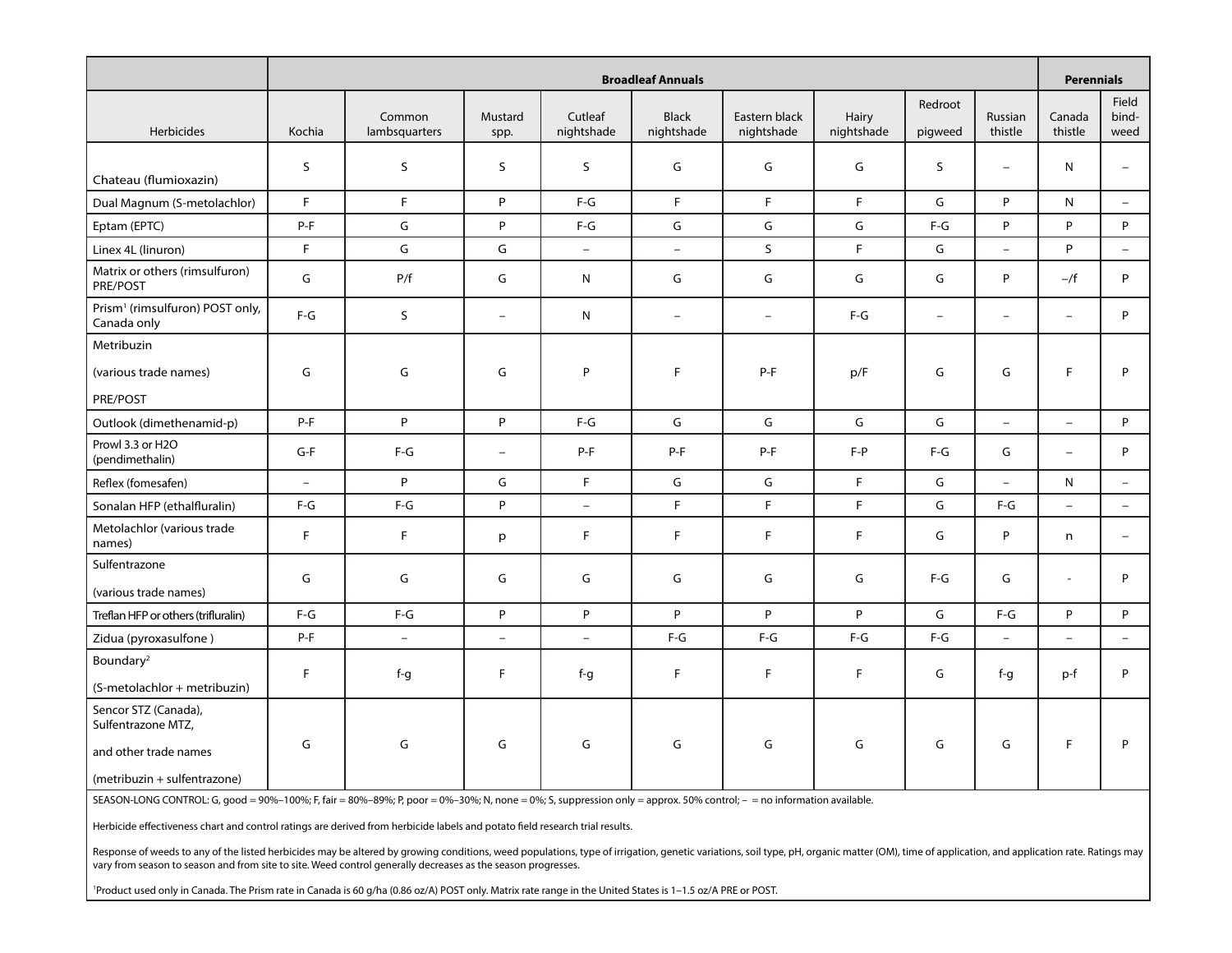|                                                                                                     | <b>Broadleaf Annuals</b> |                         |                          |                       |                            |                             |                     |                          |                          | <b>Perennials</b>        |                          |
|-----------------------------------------------------------------------------------------------------|--------------------------|-------------------------|--------------------------|-----------------------|----------------------------|-----------------------------|---------------------|--------------------------|--------------------------|--------------------------|--------------------------|
| Herbicides                                                                                          | Kochia                   | Common<br>lambsquarters | Mustard<br>spp.          | Cutleaf<br>nightshade | <b>Black</b><br>nightshade | Eastern black<br>nightshade | Hairy<br>nightshade | Redroot<br>pigweed       | Russian<br>thistle       | Canada<br>thistle        | Field<br>bind-<br>weed   |
| Chateau (flumioxazin)                                                                               | S                        | S                       | S                        | S                     | G                          | G                           | G                   | S                        | $\overline{\phantom{m}}$ | N                        | $\overline{\phantom{a}}$ |
| Dual Magnum (S-metolachlor)                                                                         | F.                       | F                       | P                        | $F-G$                 | F                          | F.                          | F                   | G                        | P                        | N.                       | $\equiv$                 |
| Eptam (EPTC)                                                                                        | $P-F$                    | G                       | P                        | $F-G$                 | G                          | G                           | G                   | $F-G$                    | P                        | P                        | P                        |
| Linex 4L (linuron)                                                                                  | F.                       | G                       | G                        | $\equiv$              | $\equiv$                   | $\mathsf{S}$                | F.                  | G                        | $\equiv$                 | P.                       | $\equiv$                 |
| Matrix or others (rimsulfuron)<br>PRE/POST                                                          | G                        | P/f                     | G                        | N                     | G                          | G                           | G                   | G                        | P                        | $-\sqrt{f}$              | P                        |
| Prism <sup>1</sup> (rimsulfuron) POST only,<br>Canada only                                          | $F-G$                    | S                       | $\equiv$                 | N                     | $\overline{\phantom{0}}$   | $\overline{\phantom{m}}$    | $F-G$               | $\overline{\phantom{a}}$ | $\overline{\phantom{m}}$ | $\equiv$                 | P                        |
| Metribuzin                                                                                          |                          |                         |                          |                       |                            |                             |                     |                          |                          |                          |                          |
| (various trade names)                                                                               | G                        | G                       | G                        | P                     | F                          | $P-F$                       | p/F                 | G                        | G                        | F.                       | P                        |
| PRE/POST                                                                                            |                          |                         |                          |                       |                            |                             |                     |                          |                          |                          |                          |
| Outlook (dimethenamid-p)                                                                            | $P-F$                    | P                       | P                        | $F-G$                 | G                          | G                           | G                   | G                        | $\overline{\phantom{a}}$ | $\equiv$                 | P                        |
| Prowl 3.3 or H2O<br>(pendimethalin)                                                                 | $G-F$                    | $F-G$                   | $\overline{\phantom{m}}$ | P-F                   | $P-F$                      | P-F                         | $F - P$             | $F-G$                    | G                        | $\overline{\phantom{0}}$ | P                        |
| Reflex (fomesafen)                                                                                  | $\equiv$                 | P                       | G                        | F.                    | G                          | G                           | $\mathsf F$         | G                        | $\frac{1}{2}$            | N                        | $\equiv$                 |
| Sonalan HFP (ethalfluralin)                                                                         | $F-G$                    | $F-G$                   | P                        | $\equiv$              | F                          | F.                          | F.                  | G                        | $F-G$                    | $\equiv$                 | $\equiv$                 |
| Metolachlor (various trade<br>names)                                                                | F.                       | F                       | p                        | F.                    | F                          | F.                          | E                   | G                        | P                        | n                        |                          |
| Sulfentrazone                                                                                       | G                        | G                       | G                        | G                     | G                          | G                           | G                   | $F-G$                    | G                        | $\blacksquare$           | P                        |
| (various trade names)                                                                               |                          |                         |                          |                       |                            |                             |                     |                          |                          |                          |                          |
| Treflan HFP or others (trifluralin)                                                                 | $F-G$                    | $F-G$                   | P                        | P                     | P                          | P                           | P                   | G                        | $F-G$                    | P                        | P                        |
| Zidua (pyroxasulfone)                                                                               | $P-F$                    | $\equiv$                | $\equiv$                 | $\equiv$              | $F-G$                      | $F-G$                       | $F-G$               | $F-G$                    | $\equiv$                 | $\equiv$                 | $\equiv$                 |
| Boundary <sup>2</sup><br>(S-metolachlor + metribuzin)                                               | F                        | $f-g$                   | F.                       | $f-g$                 | F                          | F.                          | F                   | G                        | $f-g$                    | p-f                      | P                        |
| Sencor STZ (Canada),<br>Sulfentrazone MTZ,<br>and other trade names<br>(metribuzin + sulfentrazone) | G                        | G                       | G                        | G                     | G                          | G                           | G                   | G                        | G                        | F.                       | P                        |

SEASON-LONG CONTROL: G, good = 90%-100%; F, fair = 80%-89%; P, poor = 0%-30%; N, none = 0%; S, suppression only = approx. 50% control; - = no information available.

Herbicide effectiveness chart and control ratings are derived from herbicide labels and potato field research trial results.

Response of weeds to any of the listed herbicides may be altered by growing conditions, weed populations, type of irrigation, genetic variations, soil type, pH, organic matter (OM), time of application, and application rat vary from season to season and from site to site. Weed control generally decreases as the season progresses.

1 Product used only in Canada. The Prism rate in Canada is 60 g/ha (0.86 oz/A) POST only. Matrix rate range in the United States is 1–1.5 oz/A PRE or POST.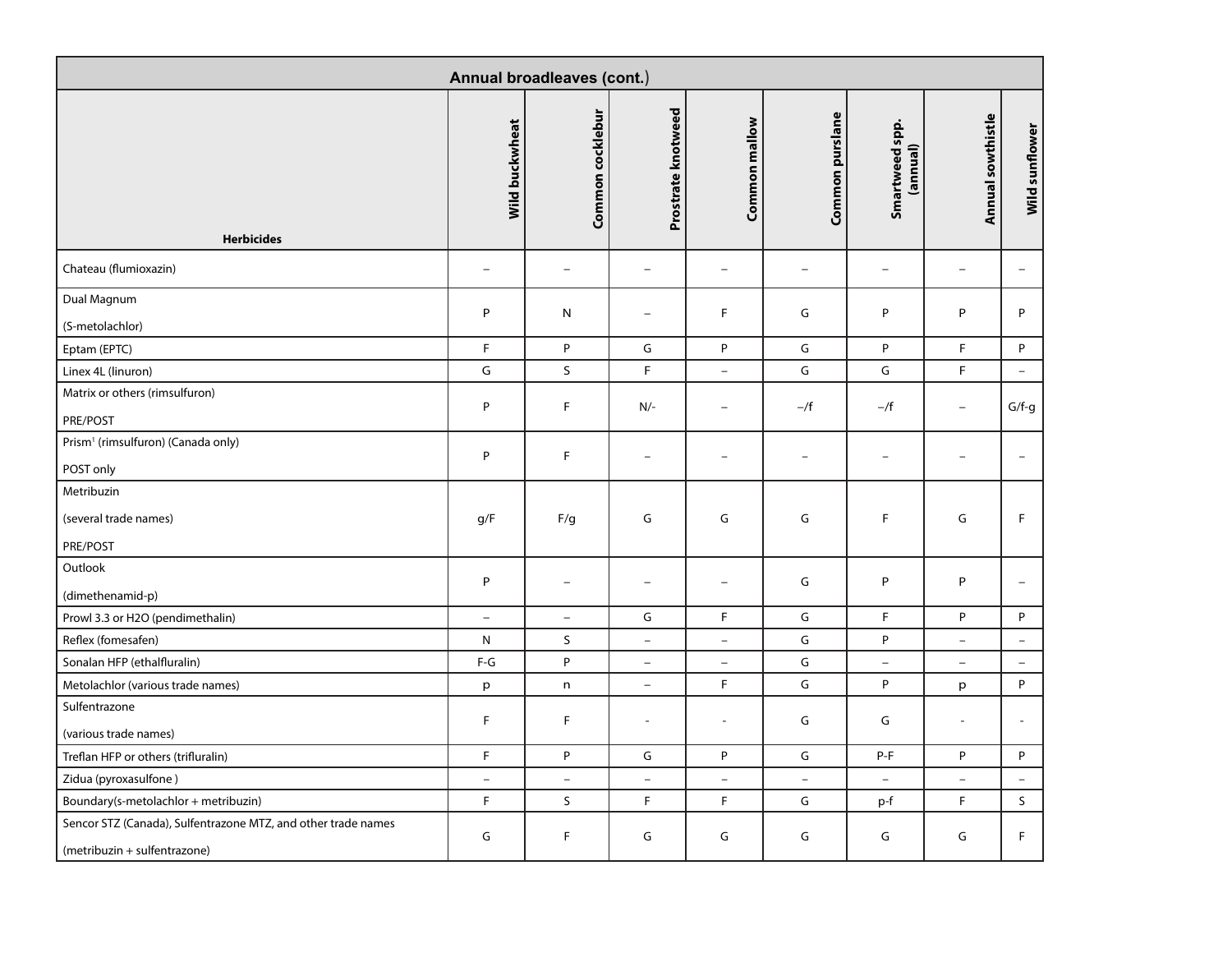| Annual broadleaves (cont.)                                                                    |                                |                          |                          |                          |                          |                                |                          |                          |  |  |
|-----------------------------------------------------------------------------------------------|--------------------------------|--------------------------|--------------------------|--------------------------|--------------------------|--------------------------------|--------------------------|--------------------------|--|--|
| <b>Herbicides</b>                                                                             | Wild buckwheat                 | Common cocklebur         | Prostrate knotweed       | Common mallow            | Common purslane          | Smartweed spp.<br>(annual)     | Annual sowthistle        | Wild sunflower           |  |  |
| Chateau (flumioxazin)                                                                         | $\qquad \qquad -$              | $\overline{\phantom{m}}$ | $\overline{\phantom{m}}$ | $\overline{\phantom{m}}$ | $\qquad \qquad -$        | $\qquad \qquad -$              | $\qquad \qquad -$        | $\overline{\phantom{0}}$ |  |  |
| Dual Magnum<br>(S-metolachlor)                                                                | $\mathsf{P}$                   | ${\sf N}$                | $\overline{\phantom{0}}$ | F                        | G                        | P                              | P                        | P                        |  |  |
| Eptam (EPTC)                                                                                  | F                              | P                        | G                        | P                        | G                        | P                              | F                        | P                        |  |  |
| Linex 4L (linuron)                                                                            | G                              | S                        | F                        | $\equiv$                 | G                        | G                              | F                        | $\equiv$                 |  |  |
| Matrix or others (rimsulfuron)                                                                | P                              | F                        | $N/-$                    | $\overline{\phantom{0}}$ | $-\sqrt{f}$              | $-\sqrt{f}$                    | $\qquad \qquad -$        | $G/f-g$                  |  |  |
| PRE/POST                                                                                      |                                |                          |                          |                          |                          |                                |                          |                          |  |  |
| Prism <sup>1</sup> (rimsulfuron) (Canada only)                                                | P                              | F                        | $\overline{\phantom{0}}$ | ÷,                       | $\overline{\phantom{0}}$ | $\overline{\phantom{0}}$       |                          | $\overline{\phantom{a}}$ |  |  |
| POST only                                                                                     |                                |                          |                          |                          |                          |                                |                          |                          |  |  |
| Metribuzin                                                                                    |                                |                          |                          |                          |                          |                                |                          |                          |  |  |
| (several trade names)                                                                         | g/F                            | F/g                      | G                        | G                        | G                        | F                              | G                        | F                        |  |  |
| PRE/POST                                                                                      |                                |                          |                          |                          |                          |                                |                          |                          |  |  |
| Outlook                                                                                       | P                              | $\qquad \qquad -$        | $\overline{\phantom{0}}$ | $\overline{\phantom{0}}$ | G                        | P                              | P                        | $\overline{\phantom{0}}$ |  |  |
| (dimethenamid-p)                                                                              |                                |                          |                          |                          |                          |                                |                          |                          |  |  |
| Prowl 3.3 or H2O (pendimethalin)                                                              | $\overline{\phantom{a}}$       | $\overline{\phantom{0}}$ | G                        | F                        | G                        | F.                             | P                        | P                        |  |  |
| Reflex (fomesafen)                                                                            | N                              | S                        | $\overline{\phantom{a}}$ | $\overline{\phantom{a}}$ | G                        | P                              | $\overline{\phantom{0}}$ | $\overline{\phantom{a}}$ |  |  |
| Sonalan HFP (ethalfluralin)                                                                   | $\mathsf{F}\text{-}\mathsf{G}$ | P                        | $\overline{\phantom{a}}$ | $\overline{\phantom{a}}$ | G                        | $\equiv$                       | $\qquad \qquad -$        | $\overline{\phantom{a}}$ |  |  |
| Metolachlor (various trade names)                                                             | p                              | n                        | $\overline{\phantom{a}}$ | F                        | G                        | P                              | p                        | P                        |  |  |
| Sulfentrazone                                                                                 | F                              | F                        |                          |                          | G                        | G                              |                          | $\overline{\phantom{a}}$ |  |  |
| (various trade names)                                                                         |                                |                          |                          |                          |                          |                                |                          |                          |  |  |
| Treflan HFP or others (trifluralin)                                                           | $\mathsf F$                    | ${\sf P}$                | ${\mathsf G}$            | $\sf P$                  | G                        | $\mathsf{P}\text{-}\mathsf{F}$ | P                        | P                        |  |  |
| Zidua (pyroxasulfone)                                                                         | $\overline{\phantom{a}}$       | $\equiv$                 | $\overline{\phantom{0}}$ | $\overline{\phantom{0}}$ | $\equiv$                 | $\equiv$                       | $\equiv$                 | $-$                      |  |  |
| Boundary(s-metolachlor + metribuzin)                                                          | F                              | S                        | F.                       | F.                       | G                        | p-f                            | F.                       | $\mathsf{S}$             |  |  |
| Sencor STZ (Canada), Sulfentrazone MTZ, and other trade names<br>(metribuzin + sulfentrazone) | ${\mathsf G}$                  | $\mathsf F$              | G                        | G                        | G                        | G                              | G                        | F                        |  |  |